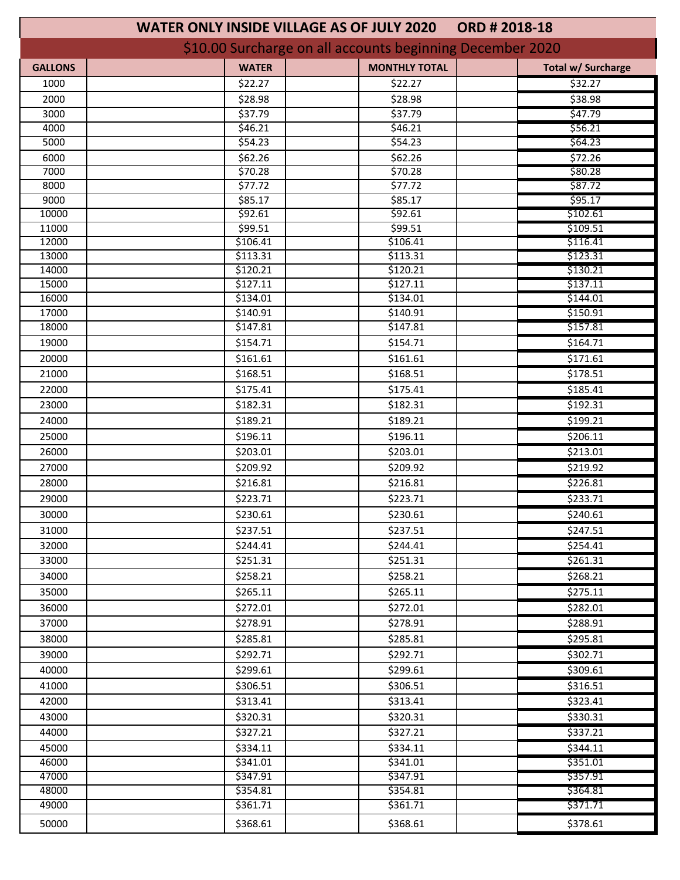| <b>WATER ONLY INSIDE VILLAGE AS OF JULY 2020</b><br>ORD # 2018-18            |  |
|------------------------------------------------------------------------------|--|
| \$10.00 Surcharge on all accounts beginning December 2020                    |  |
| <b>MONTHLY TOTAL</b><br><b>WATER</b><br><b>GALLONS</b><br>Total w/ Surcharge |  |
| \$22.27<br>\$32.27<br>1000<br>\$22.27                                        |  |
| 538.98<br>2000<br>\$28.98<br>\$28.98                                         |  |
| \$47.79<br>3000<br>\$37.79<br>\$37.79                                        |  |
| \$56.21<br>4000<br>\$46.21<br>\$46.21                                        |  |
| \$64.23<br>5000<br>\$54.23<br>\$54.23                                        |  |
| \$72.26<br>\$62.26<br>6000<br>\$62.26                                        |  |
| \$70.28<br>\$70.28<br>\$80.28<br>7000                                        |  |
| \$77.72<br>\$87.72<br>8000<br>\$77.72                                        |  |
| 9000<br>\$95.17<br>\$85.17<br>\$85.17                                        |  |
| 10000<br>\$102.61<br>\$92.61<br>\$92.61                                      |  |
| \$109.51<br>11000<br>\$99.51<br>\$99.51                                      |  |
| 12000<br>\$106.41<br>\$106.41<br>\$116.41                                    |  |
| 13000<br>\$113.31<br>\$123.31<br>\$113.31                                    |  |
| 14000<br>\$130.21<br>\$120.21<br>\$120.21                                    |  |
| 15000<br>\$127.11<br>\$127.11<br>\$137.11                                    |  |
| 16000<br>\$144.01<br>\$134.01<br>\$134.01                                    |  |
| \$140.91<br>\$140.91<br>\$150.91<br>17000                                    |  |
| \$157.81<br>18000<br>\$147.81<br>\$147.81                                    |  |
| \$164.71<br>19000<br>\$154.71<br>\$154.71                                    |  |
| \$171.61<br>20000<br>\$161.61<br>\$161.61                                    |  |
| \$168.51<br>\$168.51<br>21000<br>\$178.51                                    |  |
| \$185.41<br>22000<br>\$175.41<br>\$175.41                                    |  |
| \$192.31<br>23000<br>\$182.31<br>\$182.31                                    |  |
| \$189.21<br>\$189.21<br>\$199.21<br>24000                                    |  |
| \$206.11<br>25000<br>\$196.11<br>\$196.11                                    |  |
| \$213.01<br>26000<br>\$203.01<br>\$203.01                                    |  |
| \$209.92<br>\$209.92<br>\$219.92<br>27000                                    |  |
| \$226.81<br>28000<br>\$216.81<br>\$216.81                                    |  |
| \$233.71<br>29000<br>\$223.71<br>\$223.71                                    |  |
| \$230.61<br>\$240.61<br>30000<br>\$230.61                                    |  |
| \$247.51<br>31000<br>\$237.51<br>\$237.51                                    |  |
| \$254.41<br>\$244.41<br>\$244.41<br>32000                                    |  |
| 33000<br>\$261.31                                                            |  |
| \$251.31<br>\$251.31                                                         |  |
| \$268.21<br>34000<br>\$258.21<br>\$258.21                                    |  |
| \$265.11<br>\$275.11<br>35000<br>\$265.11                                    |  |
| 36000<br>\$272.01<br>\$272.01<br>\$282.01                                    |  |
| 37000<br>\$288.91<br>\$278.91<br>\$278.91                                    |  |
| \$295.81<br>38000<br>\$285.81<br>\$285.81                                    |  |
| 39000<br>\$292.71<br>\$302.71<br>\$292.71                                    |  |
| \$309.61<br>40000<br>\$299.61<br>\$299.61                                    |  |
| \$316.51<br>41000<br>\$306.51<br>\$306.51                                    |  |
| 42000<br>\$313.41<br>\$313.41<br>\$323.41                                    |  |
| 43000<br>\$320.31<br>\$330.31<br>\$320.31                                    |  |
| \$337.21<br>44000<br>\$327.21<br>\$327.21                                    |  |
| \$344.11<br>45000<br>\$334.11<br>\$334.11                                    |  |
| 46000<br>\$351.01<br>\$341.01<br>\$341.01                                    |  |
| 47000<br>\$347.91<br>\$347.91<br>\$357.91                                    |  |
| 48000<br>\$364.81<br>\$354.81<br>\$354.81                                    |  |
| 49000<br>\$361.71<br>\$361.71<br>\$371.71                                    |  |
| 50000<br>\$368.61<br>\$368.61<br>\$378.61                                    |  |